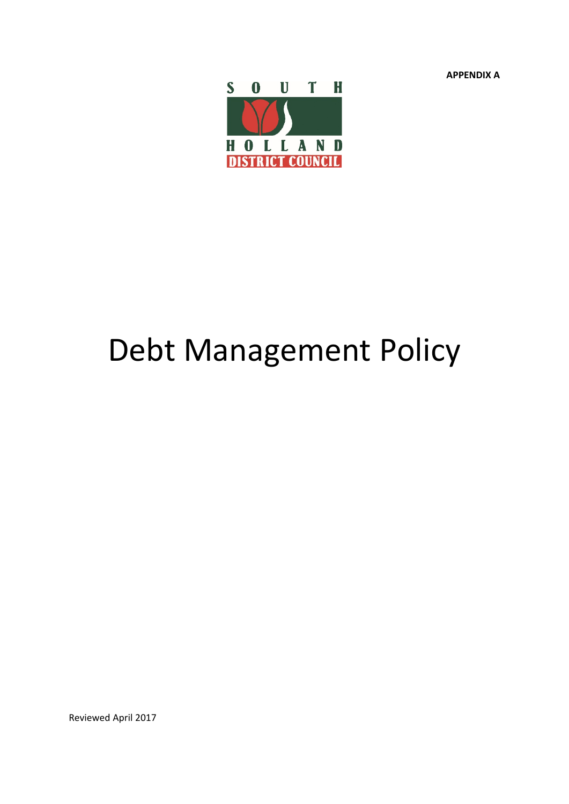**APPENDIX A**



# Debt Management Policy

Reviewed April 2017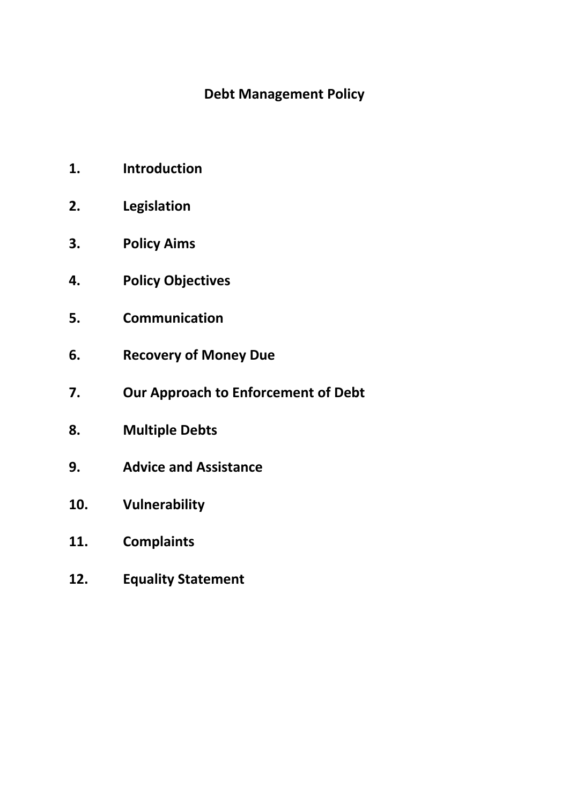# **Debt Management Policy**

- **1. Introduction**
- **2. Legislation**
- **3. Policy Aims**
- **4. Policy Objectives**
- **5. Communication**
- **6. Recovery of Money Due**
- **7. Our Approach to Enforcement of Debt**
- **8. Multiple Debts**
- **9. Advice and Assistance**
- **10. Vulnerability**
- **11. Complaints**
- **12. Equality Statement**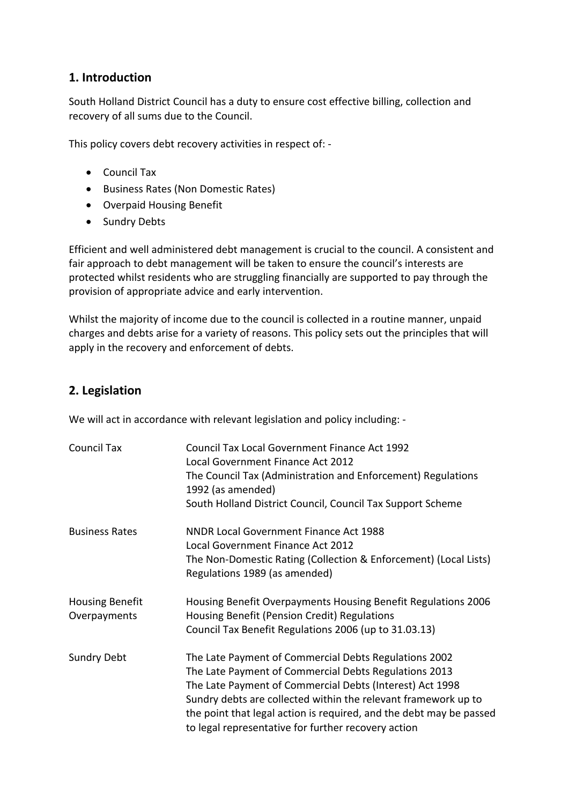### **1. Introduction**

South Holland District Council has a duty to ensure cost effective billing, collection and recovery of all sums due to the Council.

This policy covers debt recovery activities in respect of: -

- Council Tax
- Business Rates (Non Domestic Rates)
- Overpaid Housing Benefit
- Sundry Debts

Efficient and well administered debt management is crucial to the council. A consistent and fair approach to debt management will be taken to ensure the council's interests are protected whilst residents who are struggling financially are supported to pay through the provision of appropriate advice and early intervention.

Whilst the majority of income due to the council is collected in a routine manner, unpaid charges and debts arise for a variety of reasons. This policy sets out the principles that will apply in the recovery and enforcement of debts.

# **2. Legislation**

We will act in accordance with relevant legislation and policy including: -

| <b>Council Tax</b>                     | <b>Council Tax Local Government Finance Act 1992</b><br>Local Government Finance Act 2012<br>The Council Tax (Administration and Enforcement) Regulations<br>1992 (as amended)<br>South Holland District Council, Council Tax Support Scheme                                                                                                                               |
|----------------------------------------|----------------------------------------------------------------------------------------------------------------------------------------------------------------------------------------------------------------------------------------------------------------------------------------------------------------------------------------------------------------------------|
| <b>Business Rates</b>                  | <b>NNDR Local Government Finance Act 1988</b><br>Local Government Finance Act 2012<br>The Non-Domestic Rating (Collection & Enforcement) (Local Lists)<br>Regulations 1989 (as amended)                                                                                                                                                                                    |
| <b>Housing Benefit</b><br>Overpayments | Housing Benefit Overpayments Housing Benefit Regulations 2006<br>Housing Benefit (Pension Credit) Regulations<br>Council Tax Benefit Regulations 2006 (up to 31.03.13)                                                                                                                                                                                                     |
| <b>Sundry Debt</b>                     | The Late Payment of Commercial Debts Regulations 2002<br>The Late Payment of Commercial Debts Regulations 2013<br>The Late Payment of Commercial Debts (Interest) Act 1998<br>Sundry debts are collected within the relevant framework up to<br>the point that legal action is required, and the debt may be passed<br>to legal representative for further recovery action |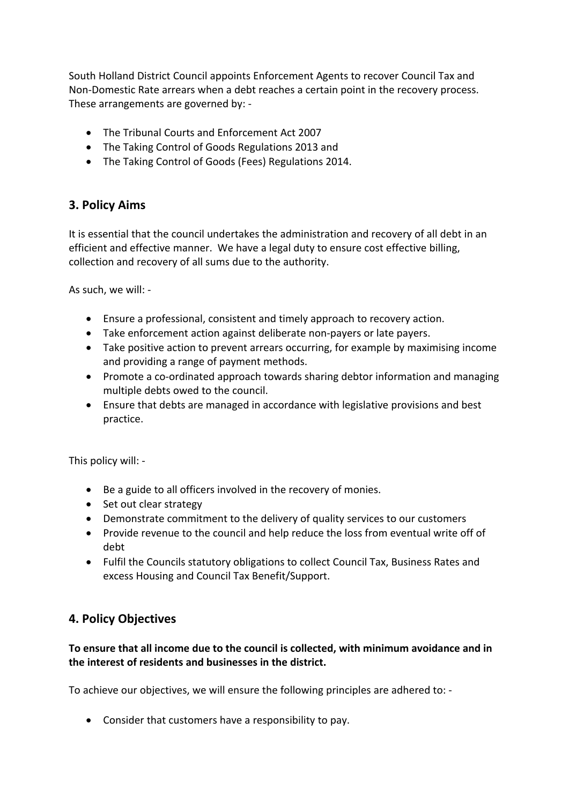South Holland District Council appoints Enforcement Agents to recover Council Tax and Non-Domestic Rate arrears when a debt reaches a certain point in the recovery process. These arrangements are governed by: -

- The Tribunal Courts and Enforcement Act 2007
- The Taking Control of Goods Regulations 2013 and
- The Taking Control of Goods (Fees) Regulations 2014.

# **3. Policy Aims**

It is essential that the council undertakes the administration and recovery of all debt in an efficient and effective manner. We have a legal duty to ensure cost effective billing, collection and recovery of all sums due to the authority.

As such, we will: -

- Ensure a professional, consistent and timely approach to recovery action.
- Take enforcement action against deliberate non-payers or late payers.
- Take positive action to prevent arrears occurring, for example by maximising income and providing a range of payment methods.
- Promote a co-ordinated approach towards sharing debtor information and managing multiple debts owed to the council.
- Ensure that debts are managed in accordance with legislative provisions and best practice.

This policy will: -

- Be a guide to all officers involved in the recovery of monies.
- Set out clear strategy
- Demonstrate commitment to the delivery of quality services to our customers
- Provide revenue to the council and help reduce the loss from eventual write off of debt
- Fulfil the Councils statutory obligations to collect Council Tax, Business Rates and excess Housing and Council Tax Benefit/Support.

#### **4. Policy Objectives**

#### **To ensure that all income due to the council is collected, with minimum avoidance and in the interest of residents and businesses in the district.**

To achieve our objectives, we will ensure the following principles are adhered to: -

Consider that customers have a responsibility to pay.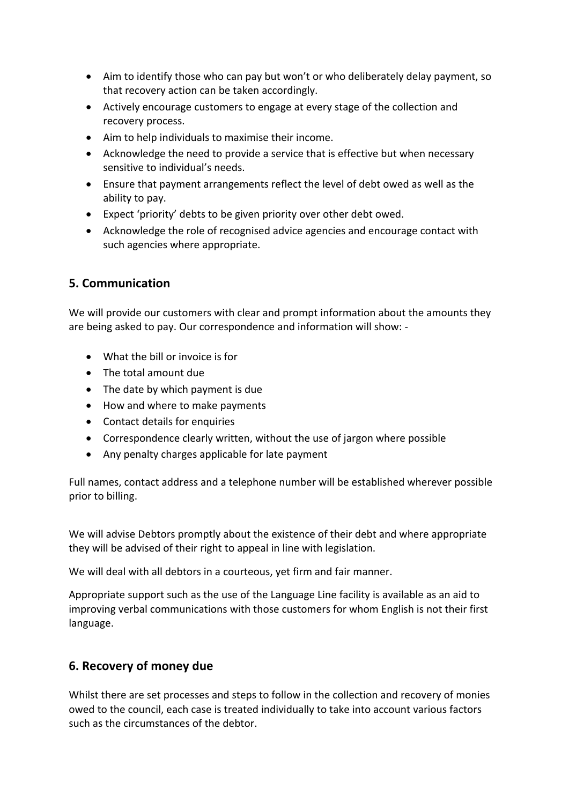- Aim to identify those who can pay but won't or who deliberately delay payment, so that recovery action can be taken accordingly.
- Actively encourage customers to engage at every stage of the collection and recovery process.
- Aim to help individuals to maximise their income.
- Acknowledge the need to provide a service that is effective but when necessary sensitive to individual's needs.
- Ensure that payment arrangements reflect the level of debt owed as well as the ability to pay.
- Expect 'priority' debts to be given priority over other debt owed.
- Acknowledge the role of recognised advice agencies and encourage contact with such agencies where appropriate.

### **5. Communication**

We will provide our customers with clear and prompt information about the amounts they are being asked to pay. Our correspondence and information will show: -

- What the bill or invoice is for
- The total amount due
- The date by which payment is due
- How and where to make payments
- Contact details for enquiries
- Correspondence clearly written, without the use of jargon where possible
- Any penalty charges applicable for late payment

Full names, contact address and a telephone number will be established wherever possible prior to billing.

We will advise Debtors promptly about the existence of their debt and where appropriate they will be advised of their right to appeal in line with legislation.

We will deal with all debtors in a courteous, yet firm and fair manner.

Appropriate support such as the use of the Language Line facility is available as an aid to improving verbal communications with those customers for whom English is not their first language.

#### **6. Recovery of money due**

Whilst there are set processes and steps to follow in the collection and recovery of monies owed to the council, each case is treated individually to take into account various factors such as the circumstances of the debtor.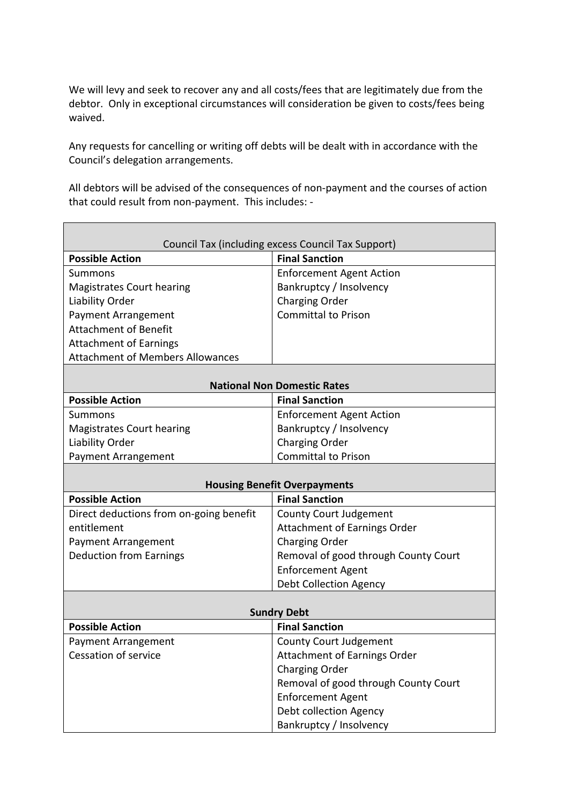We will levy and seek to recover any and all costs/fees that are legitimately due from the debtor. Only in exceptional circumstances will consideration be given to costs/fees being waived.

Any requests for cancelling or writing off debts will be dealt with in accordance with the Council's delegation arrangements.

All debtors will be advised of the consequences of non-payment and the courses of action that could result from non-payment. This includes: -

| Council Tax (including excess Council Tax Support) |                                      |  |  |
|----------------------------------------------------|--------------------------------------|--|--|
| <b>Possible Action</b>                             | <b>Final Sanction</b>                |  |  |
| Summons                                            | <b>Enforcement Agent Action</b>      |  |  |
| <b>Magistrates Court hearing</b>                   | Bankruptcy / Insolvency              |  |  |
| Liability Order                                    | Charging Order                       |  |  |
| Payment Arrangement                                | <b>Committal to Prison</b>           |  |  |
| <b>Attachment of Benefit</b>                       |                                      |  |  |
| <b>Attachment of Earnings</b>                      |                                      |  |  |
| <b>Attachment of Members Allowances</b>            |                                      |  |  |
|                                                    |                                      |  |  |
| <b>National Non Domestic Rates</b>                 |                                      |  |  |
| <b>Possible Action</b>                             | <b>Final Sanction</b>                |  |  |
| Summons                                            | <b>Enforcement Agent Action</b>      |  |  |
| Magistrates Court hearing                          | Bankruptcy / Insolvency              |  |  |
| Liability Order                                    | Charging Order                       |  |  |
| Payment Arrangement                                | <b>Committal to Prison</b>           |  |  |
| <b>Housing Benefit Overpayments</b>                |                                      |  |  |
| <b>Possible Action</b>                             | <b>Final Sanction</b>                |  |  |
| Direct deductions from on-going benefit            | <b>County Court Judgement</b>        |  |  |
| entitlement                                        | <b>Attachment of Earnings Order</b>  |  |  |
| <b>Payment Arrangement</b>                         | <b>Charging Order</b>                |  |  |
| <b>Deduction from Earnings</b>                     | Removal of good through County Court |  |  |
|                                                    | <b>Enforcement Agent</b>             |  |  |
|                                                    | <b>Debt Collection Agency</b>        |  |  |
|                                                    |                                      |  |  |
| <b>Sundry Debt</b>                                 |                                      |  |  |
| <b>Possible Action</b>                             | <b>Final Sanction</b>                |  |  |
| <b>Payment Arrangement</b>                         | <b>County Court Judgement</b>        |  |  |
| Cessation of service                               | <b>Attachment of Earnings Order</b>  |  |  |
|                                                    | <b>Charging Order</b>                |  |  |
|                                                    | Removal of good through County Court |  |  |
|                                                    | <b>Enforcement Agent</b>             |  |  |
|                                                    | Debt collection Agency               |  |  |
|                                                    | Bankruptcy / Insolvency              |  |  |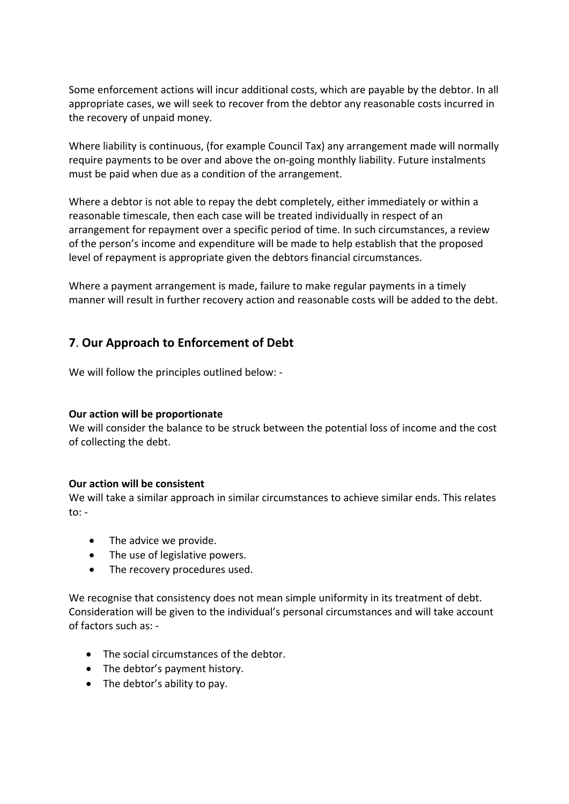Some enforcement actions will incur additional costs, which are payable by the debtor. In all appropriate cases, we will seek to recover from the debtor any reasonable costs incurred in the recovery of unpaid money.

Where liability is continuous, (for example Council Tax) any arrangement made will normally require payments to be over and above the on-going monthly liability. Future instalments must be paid when due as a condition of the arrangement.

Where a debtor is not able to repay the debt completely, either immediately or within a reasonable timescale, then each case will be treated individually in respect of an arrangement for repayment over a specific period of time. In such circumstances, a review of the person's income and expenditure will be made to help establish that the proposed level of repayment is appropriate given the debtors financial circumstances.

Where a payment arrangement is made, failure to make regular payments in a timely manner will result in further recovery action and reasonable costs will be added to the debt.

### **7**. **Our Approach to Enforcement of Debt**

We will follow the principles outlined below: -

#### **Our action will be proportionate**

We will consider the balance to be struck between the potential loss of income and the cost of collecting the debt.

#### **Our action will be consistent**

We will take a similar approach in similar circumstances to achieve similar ends. This relates  $to: -$ 

- The advice we provide.
- The use of legislative powers.
- The recovery procedures used.

We recognise that consistency does not mean simple uniformity in its treatment of debt. Consideration will be given to the individual's personal circumstances and will take account of factors such as: -

- The social circumstances of the debtor.
- The debtor's payment history.
- The debtor's ability to pay.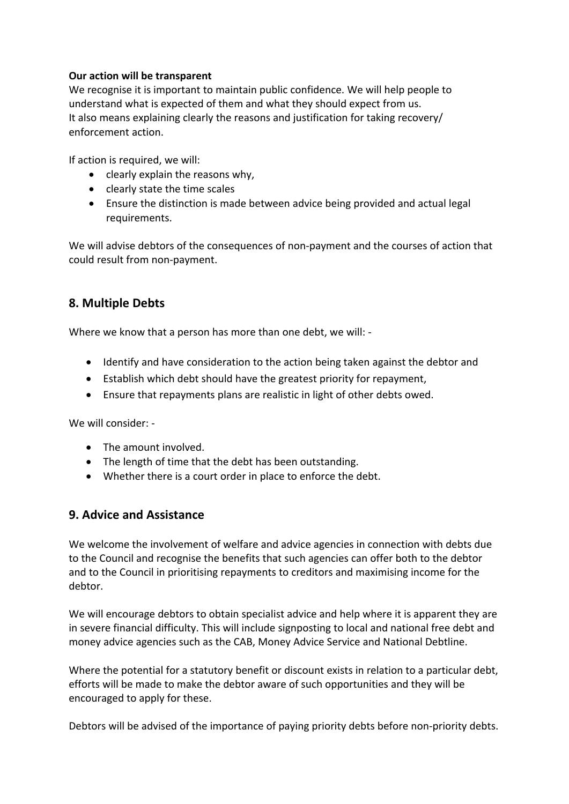#### **Our action will be transparent**

We recognise it is important to maintain public confidence. We will help people to understand what is expected of them and what they should expect from us. It also means explaining clearly the reasons and justification for taking recovery/ enforcement action.

If action is required, we will:

- clearly explain the reasons why,
- clearly state the time scales
- Ensure the distinction is made between advice being provided and actual legal requirements.

We will advise debtors of the consequences of non-payment and the courses of action that could result from non-payment.

### **8. Multiple Debts**

Where we know that a person has more than one debt, we will: -

- Identify and have consideration to the action being taken against the debtor and
- Establish which debt should have the greatest priority for repayment,
- Ensure that repayments plans are realistic in light of other debts owed.

We will consider: -

- The amount involved.
- The length of time that the debt has been outstanding.
- Whether there is a court order in place to enforce the debt.

#### **9. Advice and Assistance**

We welcome the involvement of welfare and advice agencies in connection with debts due to the Council and recognise the benefits that such agencies can offer both to the debtor and to the Council in prioritising repayments to creditors and maximising income for the debtor.

We will encourage debtors to obtain specialist advice and help where it is apparent they are in severe financial difficulty. This will include signposting to local and national free debt and money advice agencies such as the CAB, Money Advice Service and National Debtline.

Where the potential for a statutory benefit or discount exists in relation to a particular debt, efforts will be made to make the debtor aware of such opportunities and they will be encouraged to apply for these.

Debtors will be advised of the importance of paying priority debts before non-priority debts.